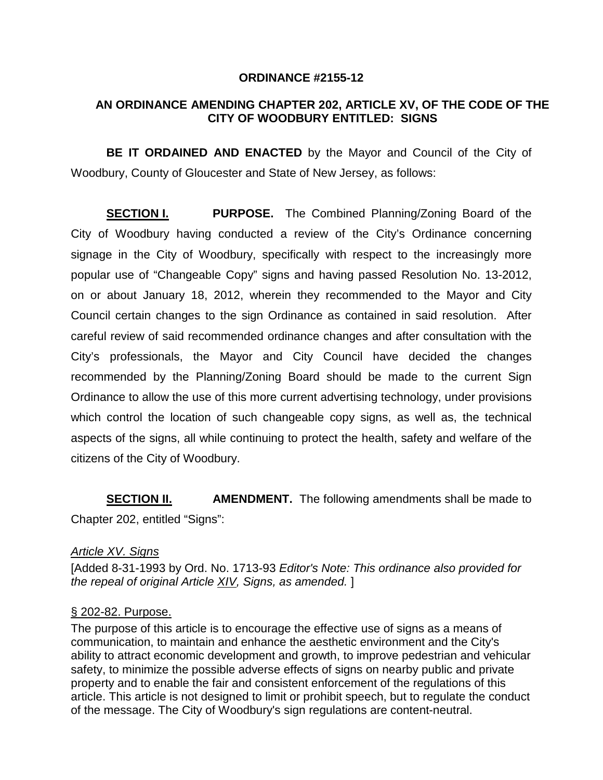#### **ORDINANCE #2155-12**

# **AN ORDINANCE AMENDING CHAPTER 202, ARTICLE XV, OF THE CODE OF THE CITY OF WOODBURY ENTITLED: SIGNS**

**BE IT ORDAINED AND ENACTED** by the Mayor and Council of the City of Woodbury, County of Gloucester and State of New Jersey, as follows:

**SECTION I. PURPOSE.** The Combined Planning/Zoning Board of the City of Woodbury having conducted a review of the City's Ordinance concerning signage in the City of Woodbury, specifically with respect to the increasingly more popular use of "Changeable Copy" signs and having passed Resolution No. 13-2012, on or about January 18, 2012, wherein they recommended to the Mayor and City Council certain changes to the sign Ordinance as contained in said resolution. After careful review of said recommended ordinance changes and after consultation with the City's professionals, the Mayor and City Council have decided the changes recommended by the Planning/Zoning Board should be made to the current Sign Ordinance to allow the use of this more current advertising technology, under provisions which control the location of such changeable copy signs, as well as, the technical aspects of the signs, all while continuing to protect the health, safety and welfare of the citizens of the City of Woodbury.

**SECTION II. AMENDMENT.** The following amendments shall be made to Chapter 202, entitled "Signs":

#### *[Article XV. Signs](http://www.ecode360.com/11416040#11416039#11416039)*

[Added 8-31-1993 by Ord. No. 1713-93 *Editor's Note: This ordinance also provided for the repeal of original Article [XIV,](http://www.ecode360.com/11415944#11415944) Signs, as amended.* ]

#### § [202-82. Purpose.](http://www.ecode360.com/11416040#11416040#11416040)

The purpose of this article is to encourage the effective use of signs as a means of communication, to maintain and enhance the aesthetic environment and the City's ability to attract economic development and growth, to improve pedestrian and vehicular safety, to minimize the possible adverse effects of signs on nearby public and private property and to enable the fair and consistent enforcement of the regulations of this article. This article is not designed to limit or prohibit speech, but to regulate the conduct of the message. The City of Woodbury's sign regulations are content-neutral.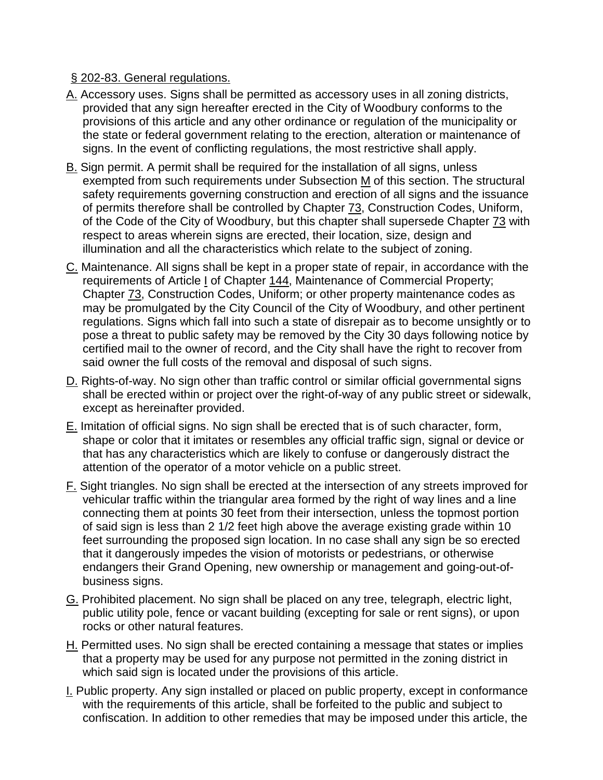# § [202-83. General regulations.](http://www.ecode360.com/11416040#11416041#11416041)

- [A.](http://www.ecode360.com/11416040#11416042#11416042) Accessory uses. Signs shall be permitted as accessory uses in all zoning districts, provided that any sign hereafter erected in the City of Woodbury conforms to the provisions of this article and any other ordinance or regulation of the municipality or the state or federal government relating to the erection, alteration or maintenance of signs. In the event of conflicting regulations, the most restrictive shall apply.
- [B.](http://www.ecode360.com/11416040#11416043#11416043) Sign permit. A permit shall be required for the installation of all signs, unless exempted from such requirements under Subsection [M](http://www.ecode360.com/11416040#11416065#11416065) of this section. The structural safety requirements governing construction and erection of all signs and the issuance of permits therefore shall be controlled by Chapter [73,](http://www.ecode360.com/11413246#11413246) Construction Codes, Uniform, of the Code of the City of Woodbury, but this chapter shall supersede Chapter [73](http://www.ecode360.com/11413246#11413246) with respect to areas wherein signs are erected, their location, size, design and illumination and all the characteristics which relate to the subject of zoning.
- [C.](http://www.ecode360.com/11416040#11416044#11416044) Maintenance. All signs shall be kept in a proper state of repair, in accordance with the requirements of Article [I](http://www.ecode360.com/11414159#11414159) of Chapter [144,](http://www.ecode360.com/11414158#11414158) Maintenance of Commercial Property; Chapter [73,](http://www.ecode360.com/11413246#11413246) Construction Codes, Uniform; or other property maintenance codes as may be promulgated by the City Council of the City of Woodbury, and other pertinent regulations. Signs which fall into such a state of disrepair as to become unsightly or to pose a threat to public safety may be removed by the City 30 days following notice by certified mail to the owner of record, and the City shall have the right to recover from said owner the full costs of the removal and disposal of such signs.
- [D.](http://www.ecode360.com/11416040#11416045#11416045) Rights-of-way. No sign other than traffic control or similar official governmental signs shall be erected within or project over the right-of-way of any public street or sidewalk, except as hereinafter provided.
- [E.](http://www.ecode360.com/11416040#11416046#11416046) Imitation of official signs. No sign shall be erected that is of such character, form, shape or color that it imitates or resembles any official traffic sign, signal or device or that has any characteristics which are likely to confuse or dangerously distract the attention of the operator of a motor vehicle on a public street.
- [F.](http://www.ecode360.com/11416040#11416047#11416047) Sight triangles. No sign shall be erected at the intersection of any streets improved for vehicular traffic within the triangular area formed by the right of way lines and a line connecting them at points 30 feet from their intersection, unless the topmost portion of said sign is less than 2 1/2 feet high above the average existing grade within 10 feet surrounding the proposed sign location. In no case shall any sign be so erected that it dangerously impedes the vision of motorists or pedestrians, or otherwise endangers their Grand Opening, new ownership or management and going-out-ofbusiness signs.
- [G.](http://www.ecode360.com/11416040#11416048#11416048) Prohibited placement. No sign shall be placed on any tree, telegraph, electric light, public utility pole, fence or vacant building (excepting for sale or rent signs), or upon rocks or other natural features.
- [H.](http://www.ecode360.com/11416040#11416049#11416049) Permitted uses. No sign shall be erected containing a message that states or implies that a property may be used for any purpose not permitted in the zoning district in which said sign is located under the provisions of this article.
- [I.](http://www.ecode360.com/11416040#11416050#11416050) Public property. Any sign installed or placed on public property, except in conformance with the requirements of this article, shall be forfeited to the public and subject to confiscation. In addition to other remedies that may be imposed under this article, the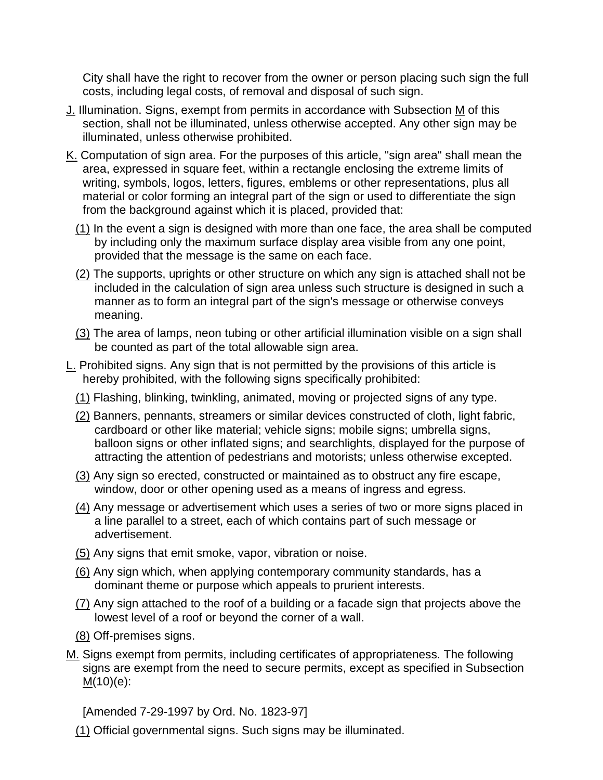City shall have the right to recover from the owner or person placing such sign the full costs, including legal costs, of removal and disposal of such sign.

- [J.](http://www.ecode360.com/11416040#11416051#11416051) Illumination. Signs, exempt from permits in accordance with Subsection [M](http://www.ecode360.com/11416040#11416065#11416065) of this section, shall not be illuminated, unless otherwise accepted. Any other sign may be illuminated, unless otherwise prohibited.
- [K.](http://www.ecode360.com/11416040#11416052#11416052) Computation of sign area. For the purposes of this article, "sign area" shall mean the area, expressed in square feet, within a rectangle enclosing the extreme limits of writing, symbols, logos, letters, figures, emblems or other representations, plus all material or color forming an integral part of the sign or used to differentiate the sign from the background against which it is placed, provided that:
	- [\(1\)](http://www.ecode360.com/11416040#11416053#11416053) In the event a sign is designed with more than one face, the area shall be computed by including only the maximum surface display area visible from any one point, provided that the message is the same on each face.
	- [\(2\)](http://www.ecode360.com/11416040#11416054#11416054) The supports, uprights or other structure on which any sign is attached shall not be included in the calculation of sign area unless such structure is designed in such a manner as to form an integral part of the sign's message or otherwise conveys meaning.
	- [\(3\)](http://www.ecode360.com/11416040#11416055#11416055) The area of lamps, neon tubing or other artificial illumination visible on a sign shall be counted as part of the total allowable sign area.
- [L.](http://www.ecode360.com/11416040#11416056#11416056) Prohibited signs. Any sign that is not permitted by the provisions of this article is hereby prohibited, with the following signs specifically prohibited:
	- [\(1\)](http://www.ecode360.com/11416040#11416057#11416057) Flashing, blinking, twinkling, animated, moving or projected signs of any type.
	- [\(2\)](http://www.ecode360.com/11416040#11416058#11416058) Banners, pennants, streamers or similar devices constructed of cloth, light fabric, cardboard or other like material; vehicle signs; mobile signs; umbrella signs, balloon signs or other inflated signs; and searchlights, displayed for the purpose of attracting the attention of pedestrians and motorists; unless otherwise excepted.
	- [\(3\)](http://www.ecode360.com/11416040#11416059#11416059) Any sign so erected, constructed or maintained as to obstruct any fire escape, window, door or other opening used as a means of ingress and egress.
	- [\(4\)](http://www.ecode360.com/11416040#11416060#11416060) Any message or advertisement which uses a series of two or more signs placed in a line parallel to a street, each of which contains part of such message or advertisement.
	- [\(5\)](http://www.ecode360.com/11416040#11416061#11416061) Any signs that emit smoke, vapor, vibration or noise.
	- [\(6\)](http://www.ecode360.com/11416040#11416062#11416062) Any sign which, when applying contemporary community standards, has a dominant theme or purpose which appeals to prurient interests.
	- [\(7\)](http://www.ecode360.com/11416040#11416063#11416063) Any sign attached to the roof of a building or a facade sign that projects above the lowest level of a roof or beyond the corner of a wall.
	- [\(8\)](http://www.ecode360.com/11416040#11416064#11416064) Off-premises signs.
- [M.](http://www.ecode360.com/11416040#11416065#11416065) Signs exempt from permits, including certificates of appropriateness. The following signs are exempt from the need to secure permits, except as specified in Subsection  $M(10)(e)$  $M(10)(e)$ :

[Amended 7-29-1997 by Ord. No. 1823-97]

[\(1\)](http://www.ecode360.com/11416040#11416066#11416066) Official governmental signs. Such signs may be illuminated.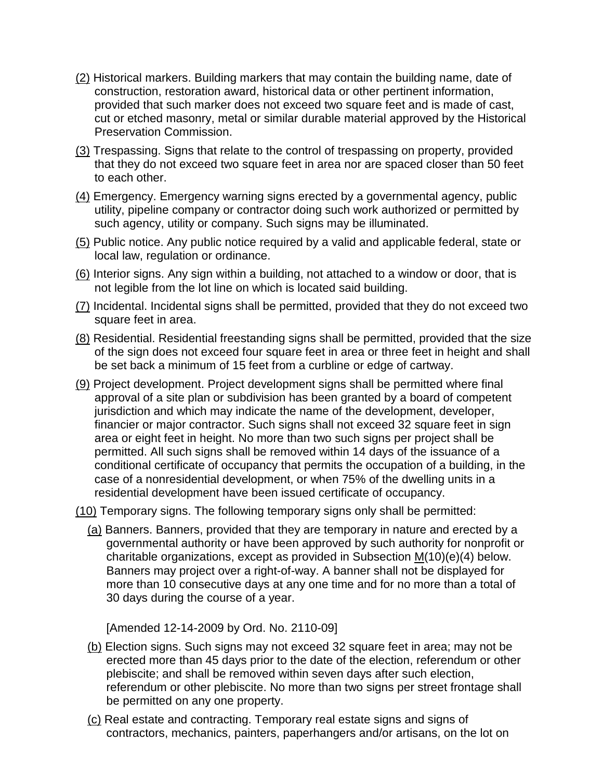- [\(2\)](http://www.ecode360.com/11416040#11416067#11416067) Historical markers. Building markers that may contain the building name, date of construction, restoration award, historical data or other pertinent information, provided that such marker does not exceed two square feet and is made of cast, cut or etched masonry, metal or similar durable material approved by the Historical Preservation Commission.
- [\(3\)](http://www.ecode360.com/11416040#11416068#11416068) Trespassing. Signs that relate to the control of trespassing on property, provided that they do not exceed two square feet in area nor are spaced closer than 50 feet to each other.
- [\(4\)](http://www.ecode360.com/11416040#11416069#11416069) Emergency. Emergency warning signs erected by a governmental agency, public utility, pipeline company or contractor doing such work authorized or permitted by such agency, utility or company. Such signs may be illuminated.
- [\(5\)](http://www.ecode360.com/11416040#11416070#11416070) Public notice. Any public notice required by a valid and applicable federal, state or local law, regulation or ordinance.
- [\(6\)](http://www.ecode360.com/11416040#11416071#11416071) Interior signs. Any sign within a building, not attached to a window or door, that is not legible from the lot line on which is located said building.
- [\(7\)](http://www.ecode360.com/11416040#11416072#11416072) Incidental. Incidental signs shall be permitted, provided that they do not exceed two square feet in area.
- [\(8\)](http://www.ecode360.com/11416040#11416073#11416073) Residential. Residential freestanding signs shall be permitted, provided that the size of the sign does not exceed four square feet in area or three feet in height and shall be set back a minimum of 15 feet from a curbline or edge of cartway.
- [\(9\)](http://www.ecode360.com/11416040#11416074#11416074) Project development. Project development signs shall be permitted where final approval of a site plan or subdivision has been granted by a board of competent jurisdiction and which may indicate the name of the development, developer, financier or major contractor. Such signs shall not exceed 32 square feet in sign area or eight feet in height. No more than two such signs per project shall be permitted. All such signs shall be removed within 14 days of the issuance of a conditional certificate of occupancy that permits the occupation of a building, in the case of a nonresidential development, or when 75% of the dwelling units in a residential development have been issued certificate of occupancy.
- [\(10\)](http://www.ecode360.com/11416040#11416075#11416075) Temporary signs. The following temporary signs only shall be permitted:
	- [\(a\)](http://www.ecode360.com/11416040#11416076#11416076) Banners. Banners, provided that they are temporary in nature and erected by a governmental authority or have been approved by such authority for nonprofit or charitable organizations, except as provided in Subsection  $M(10)(e)(4)$  below. Banners may project over a right-of-way. A banner shall not be displayed for more than 10 consecutive days at any one time and for no more than a total of 30 days during the course of a year.

[Amended 12-14-2009 by Ord. No. 2110-09]

- [\(b\)](http://www.ecode360.com/11416040#11416077#11416077) Election signs. Such signs may not exceed 32 square feet in area; may not be erected more than 45 days prior to the date of the election, referendum or other plebiscite; and shall be removed within seven days after such election, referendum or other plebiscite. No more than two signs per street frontage shall be permitted on any one property.
- [\(c\)](http://www.ecode360.com/11416040#11416078#11416078) Real estate and contracting. Temporary real estate signs and signs of contractors, mechanics, painters, paperhangers and/or artisans, on the lot on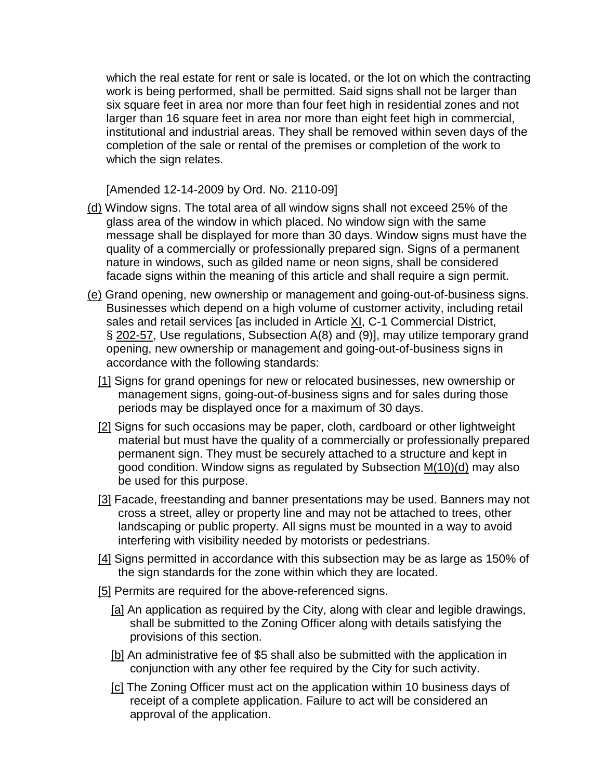which the real estate for rent or sale is located, or the lot on which the contracting work is being performed, shall be permitted. Said signs shall not be larger than six square feet in area nor more than four feet high in residential zones and not larger than 16 square feet in area nor more than eight feet high in commercial, institutional and industrial areas. They shall be removed within seven days of the completion of the sale or rental of the premises or completion of the work to which the sign relates.

[Amended 12-14-2009 by Ord. No. 2110-09]

- [\(d\)](http://www.ecode360.com/11416040#11416079#11416079) Window signs. The total area of all window signs shall not exceed 25% of the glass area of the window in which placed. No window sign with the same message shall be displayed for more than 30 days. Window signs must have the quality of a commercially or professionally prepared sign. Signs of a permanent nature in windows, such as gilded name or neon signs, shall be considered facade signs within the meaning of this article and shall require a sign permit.
- [\(e\)](http://www.ecode360.com/11416040#11416080#11416080) Grand opening, new ownership or management and going-out-of-business signs. Businesses which depend on a high volume of customer activity, including retail sales and retail services [as included in Article [XI,](http://www.ecode360.com/11415707#11415707) C-1 Commercial District, § [202-57,](http://www.ecode360.com/11415709#11415709) Use regulations, Subsection A(8) and (9)], may utilize temporary grand opening, new ownership or management and going-out-of-business signs in accordance with the following standards:
	- [\[1\]](http://www.ecode360.com/11416040#11416081#11416081) Signs for grand openings for new or relocated businesses, new ownership or management signs, going-out-of-business signs and for sales during those periods may be displayed once for a maximum of 30 days.
	- [\[2\]](http://www.ecode360.com/11416040#11416082#11416082) Signs for such occasions may be paper, cloth, cardboard or other lightweight material but must have the quality of a commercially or professionally prepared permanent sign. They must be securely attached to a structure and kept in good condition. Window signs as regulated by Subsection [M\(10\)\(d\)](http://www.ecode360.com/11416040#11416079#11416079) may also be used for this purpose.
	- [\[3\]](http://www.ecode360.com/11416040#11416083#11416083) Facade, freestanding and banner presentations may be used. Banners may not cross a street, alley or property line and may not be attached to trees, other landscaping or public property. All signs must be mounted in a way to avoid interfering with visibility needed by motorists or pedestrians.
	- [\[4\]](http://www.ecode360.com/11416040#11416084#11416084) Signs permitted in accordance with this subsection may be as large as 150% of the sign standards for the zone within which they are located.
	- [\[5\]](http://www.ecode360.com/11416040#11416085#11416085) Permits are required for the above-referenced signs.
		- [\[a\]](http://www.ecode360.com/11416040#11416086#11416086) An application as required by the City, along with clear and legible drawings, shall be submitted to the Zoning Officer along with details satisfying the provisions of this section.
		- [\[b\]](http://www.ecode360.com/11416040#11416087#11416087) An administrative fee of \$5 shall also be submitted with the application in conjunction with any other fee required by the City for such activity.
		- [\[c\]](http://www.ecode360.com/11416040#11416088#11416088) The Zoning Officer must act on the application within 10 business days of receipt of a complete application. Failure to act will be considered an approval of the application.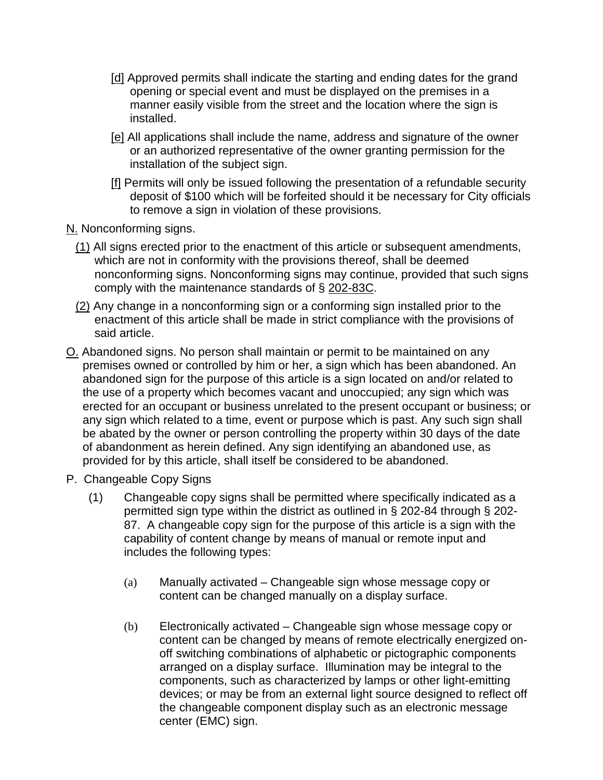- [\[d\]](http://www.ecode360.com/11416040#11416089#11416089) Approved permits shall indicate the starting and ending dates for the grand opening or special event and must be displayed on the premises in a manner easily visible from the street and the location where the sign is installed.
- [\[e\]](http://www.ecode360.com/11416040#11416090#11416090) All applications shall include the name, address and signature of the owner or an authorized representative of the owner granting permission for the installation of the subject sign.
- [\[f\]](http://www.ecode360.com/11416040#11416091#11416091) Permits will only be issued following the presentation of a refundable security deposit of \$100 which will be forfeited should it be necessary for City officials to remove a sign in violation of these provisions.

[N.](http://www.ecode360.com/11416040#11416092#11416092) Nonconforming signs.

- [\(1\)](http://www.ecode360.com/11416040#11416093#11416093) All signs erected prior to the enactment of this article or subsequent amendments, which are not in conformity with the provisions thereof, shall be deemed nonconforming signs. Nonconforming signs may continue, provided that such signs comply with the maintenance standards of § [202-83C.](http://www.ecode360.com/11416040#11416044#11416044)
- [\(2\)](http://www.ecode360.com/11416040#11416094#11416094) Any change in a nonconforming sign or a conforming sign installed prior to the enactment of this article shall be made in strict compliance with the provisions of said article.
- [O.](http://www.ecode360.com/11416040#11416095#11416095) Abandoned signs. No person shall maintain or permit to be maintained on any premises owned or controlled by him or her, a sign which has been abandoned. An abandoned sign for the purpose of this article is a sign located on and/or related to the use of a property which becomes vacant and unoccupied; any sign which was erected for an occupant or business unrelated to the present occupant or business; or any sign which related to a time, event or purpose which is past. Any such sign shall be abated by the owner or person controlling the property within 30 days of the date of abandonment as herein defined. Any sign identifying an abandoned use, as provided for by this article, shall itself be considered to be abandoned.
- P. Changeable Copy Signs
	- (1) Changeable copy signs shall be permitted where specifically indicated as a permitted sign type within the district as outlined in § 202-84 through § 202- 87. A changeable copy sign for the purpose of this article is a sign with the capability of content change by means of manual or remote input and includes the following types:
		- (a) Manually activated Changeable sign whose message copy or content can be changed manually on a display surface.
		- (b) Electronically activated Changeable sign whose message copy or content can be changed by means of remote electrically energized onoff switching combinations of alphabetic or pictographic components arranged on a display surface. Illumination may be integral to the components, such as characterized by lamps or other light-emitting devices; or may be from an external light source designed to reflect off the changeable component display such as an electronic message center (EMC) sign.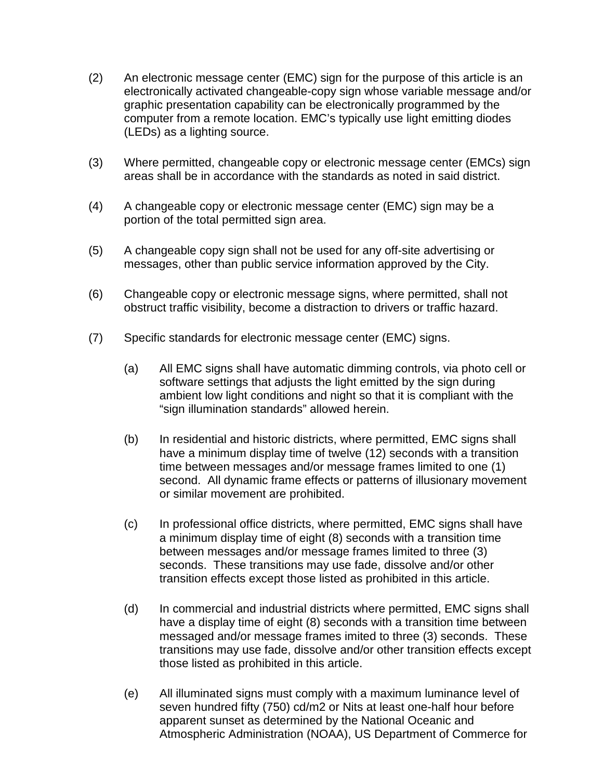- (2) An electronic message center (EMC) sign for the purpose of this article is an electronically activated changeable-copy sign whose variable message and/or graphic presentation capability can be electronically programmed by the computer from a remote location. EMC's typically use light emitting diodes (LEDs) as a lighting source.
- (3) Where permitted, changeable copy or electronic message center (EMCs) sign areas shall be in accordance with the standards as noted in said district.
- (4) A changeable copy or electronic message center (EMC) sign may be a portion of the total permitted sign area.
- (5) A changeable copy sign shall not be used for any off-site advertising or messages, other than public service information approved by the City.
- (6) Changeable copy or electronic message signs, where permitted, shall not obstruct traffic visibility, become a distraction to drivers or traffic hazard.
- (7) Specific standards for electronic message center (EMC) signs.
	- (a) All EMC signs shall have automatic dimming controls, via photo cell or software settings that adjusts the light emitted by the sign during ambient low light conditions and night so that it is compliant with the "sign illumination standards" allowed herein.
	- (b) In residential and historic districts, where permitted, EMC signs shall have a minimum display time of twelve (12) seconds with a transition time between messages and/or message frames limited to one (1) second. All dynamic frame effects or patterns of illusionary movement or similar movement are prohibited.
	- (c) In professional office districts, where permitted, EMC signs shall have a minimum display time of eight (8) seconds with a transition time between messages and/or message frames limited to three (3) seconds. These transitions may use fade, dissolve and/or other transition effects except those listed as prohibited in this article.
	- (d) In commercial and industrial districts where permitted, EMC signs shall have a display time of eight (8) seconds with a transition time between messaged and/or message frames imited to three (3) seconds. These transitions may use fade, dissolve and/or other transition effects except those listed as prohibited in this article.
	- (e) All illuminated signs must comply with a maximum luminance level of seven hundred fifty (750) cd/m2 or Nits at least one-half hour before apparent sunset as determined by the National Oceanic and Atmospheric Administration (NOAA), US Department of Commerce for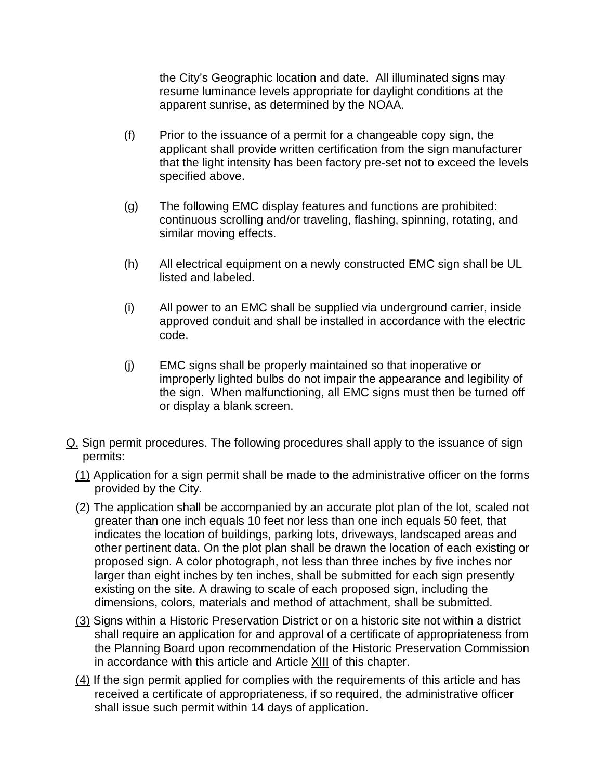the City's Geographic location and date. All illuminated signs may resume luminance levels appropriate for daylight conditions at the apparent sunrise, as determined by the NOAA.

- (f) Prior to the issuance of a permit for a changeable copy sign, the applicant shall provide written certification from the sign manufacturer that the light intensity has been factory pre-set not to exceed the levels specified above.
- (g) The following EMC display features and functions are prohibited: continuous scrolling and/or traveling, flashing, spinning, rotating, and similar moving effects.
- (h) All electrical equipment on a newly constructed EMC sign shall be UL listed and labeled.
- (i) All power to an EMC shall be supplied via underground carrier, inside approved conduit and shall be installed in accordance with the electric code.
- (j) EMC signs shall be properly maintained so that inoperative or improperly lighted bulbs do not impair the appearance and legibility of the sign. When malfunctioning, all EMC signs must then be turned off or display a blank screen.
- [Q.](http://www.ecode360.com/11416040#11416096#11416096) Sign permit procedures. The following procedures shall apply to the issuance of sign permits:
	- [\(1\)](http://www.ecode360.com/11416040#11416097#11416097) Application for a sign permit shall be made to the administrative officer on the forms provided by the City.
	- [\(2\)](http://www.ecode360.com/11416040#11416098#11416098) The application shall be accompanied by an accurate plot plan of the lot, scaled not greater than one inch equals 10 feet nor less than one inch equals 50 feet, that indicates the location of buildings, parking lots, driveways, landscaped areas and other pertinent data. On the plot plan shall be drawn the location of each existing or proposed sign. A color photograph, not less than three inches by five inches nor larger than eight inches by ten inches, shall be submitted for each sign presently existing on the site. A drawing to scale of each proposed sign, including the dimensions, colors, materials and method of attachment, shall be submitted.
	- [\(3\)](http://www.ecode360.com/11416040#11416099#11416099) Signs within a Historic Preservation District or on a historic site not within a district shall require an application for and approval of a certificate of appropriateness from the Planning Board upon recommendation of the Historic Preservation Commission in accordance with this article and Article [XIII](http://www.ecode360.com/11415881#11415881) of this chapter.
	- [\(4\)](http://www.ecode360.com/11416040#11416100#11416100) If the sign permit applied for complies with the requirements of this article and has received a certificate of appropriateness, if so required, the administrative officer shall issue such permit within 14 days of application.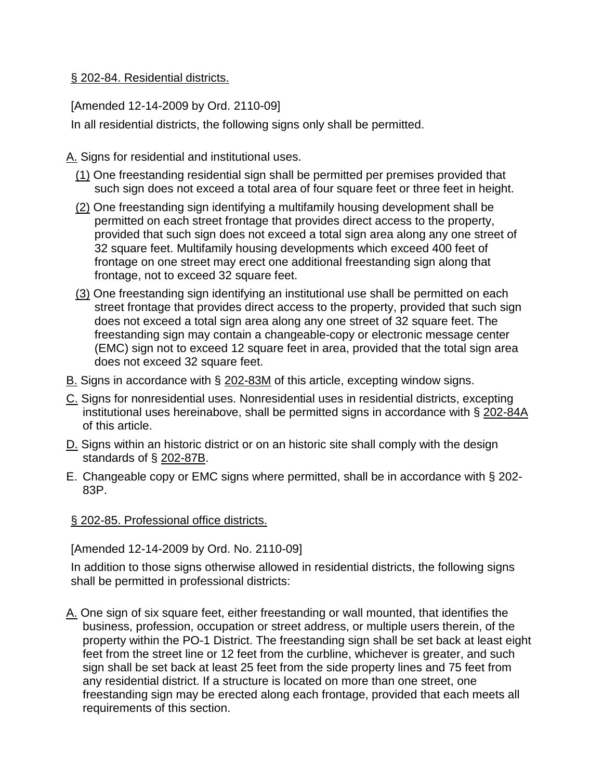## § [202-84. Residential districts.](http://www.ecode360.com/11416040#11416101#11416101)

[Amended 12-14-2009 by Ord. 2110-09]

In all residential districts, the following signs only shall be permitted.

[A.](http://www.ecode360.com/11416040#11416102#11416102) Signs for residential and institutional uses.

- [\(1\)](http://www.ecode360.com/11416040#11416103#11416103) One freestanding residential sign shall be permitted per premises provided that such sign does not exceed a total area of four square feet or three feet in height.
- [\(2\)](http://www.ecode360.com/11416040#11416104#11416104) One freestanding sign identifying a multifamily housing development shall be permitted on each street frontage that provides direct access to the property, provided that such sign does not exceed a total sign area along any one street of 32 square feet. Multifamily housing developments which exceed 400 feet of frontage on one street may erect one additional freestanding sign along that frontage, not to exceed 32 square feet.
- [\(3\)](http://www.ecode360.com/11416040#11416105#11416105) One freestanding sign identifying an institutional use shall be permitted on each street frontage that provides direct access to the property, provided that such sign does not exceed a total sign area along any one street of 32 square feet. The freestanding sign may contain a changeable-copy or electronic message center (EMC) sign not to exceed 12 square feet in area, provided that the total sign area does not exceed 32 square feet.
- [B.](http://www.ecode360.com/11416040#11416106#11416106) Signs in accordance with § [202-83M](http://www.ecode360.com/11416040#11416065#11416065) of this article, excepting window signs.
- [C.](http://www.ecode360.com/11416040#11416107#11416107) Signs for nonresidential uses. Nonresidential uses in residential districts, excepting institutional uses hereinabove, shall be permitted signs in accordance with § [202-84A](http://www.ecode360.com/11416040#11416102#11416102) of this article.
- [D.](http://www.ecode360.com/11416040#11416108#11416108) Signs within an historic district or on an historic site shall comply with the design standards of § [202-87B.](http://www.ecode360.com/11416040#11416116#11416116)
- E. Changeable copy or EMC signs where permitted, shall be in accordance with § 202- 83P.

# § [202-85. Professional office districts.](http://www.ecode360.com/11416040#11416109#11416109)

[Amended 12-14-2009 by Ord. No. 2110-09]

In addition to those signs otherwise allowed in residential districts, the following signs shall be permitted in professional districts:

[A.](http://www.ecode360.com/11416040#11416110#11416110) One sign of six square feet, either freestanding or wall mounted, that identifies the business, profession, occupation or street address, or multiple users therein, of the property within the PO-1 District. The freestanding sign shall be set back at least eight feet from the street line or 12 feet from the curbline, whichever is greater, and such sign shall be set back at least 25 feet from the side property lines and 75 feet from any residential district. If a structure is located on more than one street, one freestanding sign may be erected along each frontage, provided that each meets all requirements of this section.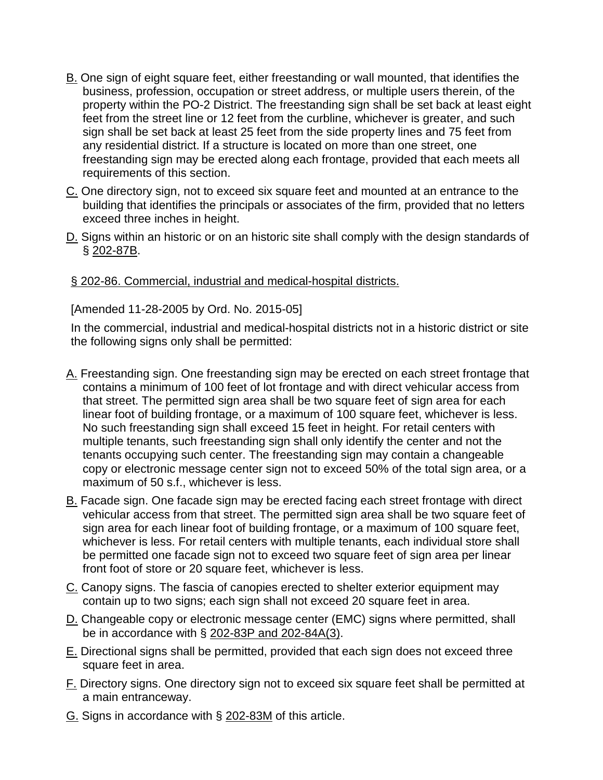- [B.](http://www.ecode360.com/11416040#11416111#11416111) One sign of eight square feet, either freestanding or wall mounted, that identifies the business, profession, occupation or street address, or multiple users therein, of the property within the PO-2 District. The freestanding sign shall be set back at least eight feet from the street line or 12 feet from the curbline, whichever is greater, and such sign shall be set back at least 25 feet from the side property lines and 75 feet from any residential district. If a structure is located on more than one street, one freestanding sign may be erected along each frontage, provided that each meets all requirements of this section.
- [C.](http://www.ecode360.com/11416040#11416112#11416112) One directory sign, not to exceed six square feet and mounted at an entrance to the building that identifies the principals or associates of the firm, provided that no letters exceed three inches in height.
- [D.](http://www.ecode360.com/11416040#11416113#11416113) Signs within an historic or on an historic site shall comply with the design standards of § [202-87B.](http://www.ecode360.com/11416040#11416116#11416116)

## § [202-86. Commercial, industrial and medical-hospital districts.](http://www.ecode360.com/11416040#11416114#11416114)

#### [Amended 11-28-2005 by Ord. No. 2015-05]

In the commercial, industrial and medical-hospital districts not in a historic district or site the following signs only shall be permitted:

- [A.](http://www.ecode360.com/11416040#11416115#11416115) Freestanding sign. One freestanding sign may be erected on each street frontage that contains a minimum of 100 feet of lot frontage and with direct vehicular access from that street. The permitted sign area shall be two square feet of sign area for each linear foot of building frontage, or a maximum of 100 square feet, whichever is less. No such freestanding sign shall exceed 15 feet in height. For retail centers with multiple tenants, such freestanding sign shall only identify the center and not the tenants occupying such center. The freestanding sign may contain a changeable copy or electronic message center sign not to exceed 50% of the total sign area, or a maximum of 50 s.f., whichever is less.
- [B.](http://www.ecode360.com/11416040#11416116#11416116) Facade sign. One facade sign may be erected facing each street frontage with direct vehicular access from that street. The permitted sign area shall be two square feet of sign area for each linear foot of building frontage, or a maximum of 100 square feet, whichever is less. For retail centers with multiple tenants, each individual store shall be permitted one facade sign not to exceed two square feet of sign area per linear front foot of store or 20 square feet, whichever is less.
- [C.](http://www.ecode360.com/11416040#11416117#11416117) Canopy signs. The fascia of canopies erected to shelter exterior equipment may contain up to two signs; each sign shall not exceed 20 square feet in area.
- [D.](http://www.ecode360.com/11416040#11416118#11416118) Changeable copy or electronic message center (EMC) signs where permitted, shall be in accordance with § [202-83P and 202-84A\(3\).](http://www.ecode360.com/11416040#11416105#11416105)
- [E.](http://www.ecode360.com/11416040#11416119#11416119) Directional signs shall be permitted, provided that each sign does not exceed three square feet in area.
- [F.](http://www.ecode360.com/11416040#11416120#11416120) Directory signs. One directory sign not to exceed six square feet shall be permitted at a main entranceway.
- [G.](http://www.ecode360.com/11416040#11416121#11416121) Signs in accordance with § [202-83M](http://www.ecode360.com/11416040#11416065#11416065) of this article.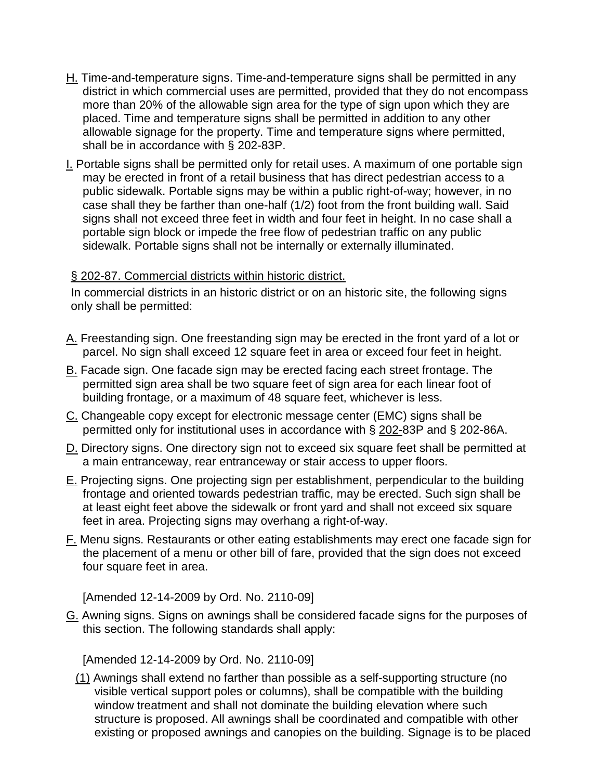- [H.](http://www.ecode360.com/11416040#11416122#11416122) Time-and-temperature signs. Time-and-temperature signs shall be permitted in any district in which commercial uses are permitted, provided that they do not encompass more than 20% of the allowable sign area for the type of sign upon which they are placed. Time and temperature signs shall be permitted in addition to any other allowable signage for the property. Time and temperature signs where permitted, shall be in accordance with § 202-83P.
- [I.](http://www.ecode360.com/11416040#11416123#11416123) Portable signs shall be permitted only for retail uses. A maximum of one portable sign may be erected in front of a retail business that has direct pedestrian access to a public sidewalk. Portable signs may be within a public right-of-way; however, in no case shall they be farther than one-half (1/2) foot from the front building wall. Said signs shall not exceed three feet in width and four feet in height. In no case shall a portable sign block or impede the free flow of pedestrian traffic on any public sidewalk. Portable signs shall not be internally or externally illuminated.

# § [202-87. Commercial districts within historic district.](http://www.ecode360.com/11416040#11416124#11416124)

In commercial districts in an historic district or on an historic site, the following signs only shall be permitted:

- [A.](http://www.ecode360.com/11416040#11416125#11416125) Freestanding sign. One freestanding sign may be erected in the front yard of a lot or parcel. No sign shall exceed 12 square feet in area or exceed four feet in height.
- [B.](http://www.ecode360.com/11416040#11416126#11416126) Facade sign. One facade sign may be erected facing each street frontage. The permitted sign area shall be two square feet of sign area for each linear foot of building frontage, or a maximum of 48 square feet, whichever is less.
- [C.](http://www.ecode360.com/11416040#11416127#11416127) Changeable copy except for electronic message center (EMC) signs shall be permitted only for institutional uses in accordance with § [202-8](http://www.ecode360.com/11416040#11416105#11416105)3P and § 202-86A.
- [D.](http://www.ecode360.com/11416040#11416128#11416128) Directory signs. One directory sign not to exceed six square feet shall be permitted at a main entranceway, rear entranceway or stair access to upper floors.
- [E.](http://www.ecode360.com/11416040#11416129#11416129) Projecting signs. One projecting sign per establishment, perpendicular to the building frontage and oriented towards pedestrian traffic, may be erected. Such sign shall be at least eight feet above the sidewalk or front yard and shall not exceed six square feet in area. Projecting signs may overhang a right-of-way.
- [F.](http://www.ecode360.com/11416040#11416130#11416130) Menu signs. Restaurants or other eating establishments may erect one facade sign for the placement of a menu or other bill of fare, provided that the sign does not exceed four square feet in area.

[Amended 12-14-2009 by Ord. No. 2110-09]

[G.](http://www.ecode360.com/11416040#11416131#11416131) Awning signs. Signs on awnings shall be considered facade signs for the purposes of this section. The following standards shall apply:

[Amended 12-14-2009 by Ord. No. 2110-09]

[\(1\)](http://www.ecode360.com/11416040#14132178#14132178) Awnings shall extend no farther than possible as a self-supporting structure (no visible vertical support poles or columns), shall be compatible with the building window treatment and shall not dominate the building elevation where such structure is proposed. All awnings shall be coordinated and compatible with other existing or proposed awnings and canopies on the building. Signage is to be placed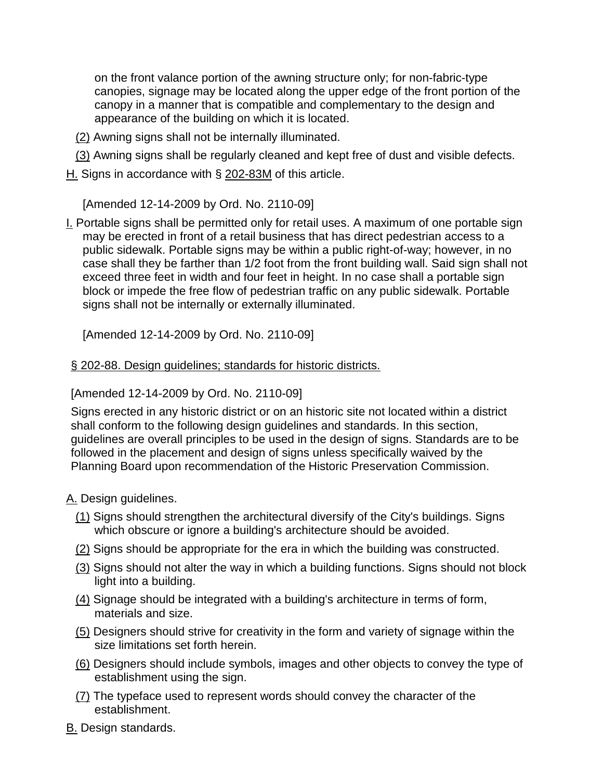on the front valance portion of the awning structure only; for non-fabric-type canopies, signage may be located along the upper edge of the front portion of the canopy in a manner that is compatible and complementary to the design and appearance of the building on which it is located.

- [\(2\)](http://www.ecode360.com/11416040#14132179#14132179) Awning signs shall not be internally illuminated.
- [\(3\)](http://www.ecode360.com/11416040#14132180#14132180) Awning signs shall be regularly cleaned and kept free of dust and visible defects.
- [H.](http://www.ecode360.com/11416040#11416132#11416132) Signs in accordance with § [202-83M](http://www.ecode360.com/11416040#11416065#11416065) of this article.

[Amended 12-14-2009 by Ord. No. 2110-09]

[I.](http://www.ecode360.com/11416040#11416133#11416133) Portable signs shall be permitted only for retail uses. A maximum of one portable sign may be erected in front of a retail business that has direct pedestrian access to a public sidewalk. Portable signs may be within a public right-of-way; however, in no case shall they be farther than 1/2 foot from the front building wall. Said sign shall not exceed three feet in width and four feet in height. In no case shall a portable sign block or impede the free flow of pedestrian traffic on any public sidewalk. Portable signs shall not be internally or externally illuminated.

[Amended 12-14-2009 by Ord. No. 2110-09]

## § [202-88. Design guidelines; standards for historic districts.](http://www.ecode360.com/11416040#11416134#11416134)

## [Amended 12-14-2009 by Ord. No. 2110-09]

Signs erected in any historic district or on an historic site not located within a district shall conform to the following design guidelines and standards. In this section, guidelines are overall principles to be used in the design of signs. Standards are to be followed in the placement and design of signs unless specifically waived by the Planning Board upon recommendation of the Historic Preservation Commission.

## [A.](http://www.ecode360.com/11416040#11416135#11416135) Design guidelines.

- [\(1\)](http://www.ecode360.com/11416040#11416136#11416136) Signs should strengthen the architectural diversify of the City's buildings. Signs which obscure or ignore a building's architecture should be avoided.
- [\(2\)](http://www.ecode360.com/11416040#11416137#11416137) Signs should be appropriate for the era in which the building was constructed.
- [\(3\)](http://www.ecode360.com/11416040#11416138#11416138) Signs should not alter the way in which a building functions. Signs should not block light into a building.
- [\(4\)](http://www.ecode360.com/11416040#11416139#11416139) Signage should be integrated with a building's architecture in terms of form, materials and size.
- [\(5\)](http://www.ecode360.com/11416040#11416140#11416140) Designers should strive for creativity in the form and variety of signage within the size limitations set forth herein.
- [\(6\)](http://www.ecode360.com/11416040#11416141#11416141) Designers should include symbols, images and other objects to convey the type of establishment using the sign.
- [\(7\)](http://www.ecode360.com/11416040#11416142#11416142) The typeface used to represent words should convey the character of the establishment.
- [B.](http://www.ecode360.com/11416040#11416143#11416143) Design standards.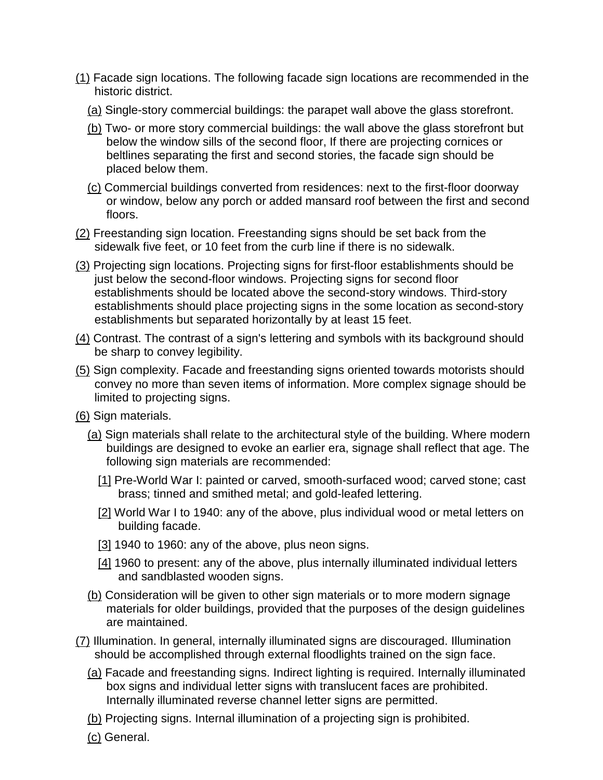- [\(1\)](http://www.ecode360.com/11416040#11416144#11416144) Facade sign locations. The following facade sign locations are recommended in the historic district.
	- [\(a\)](http://www.ecode360.com/11416040#11416145#11416145) Single-story commercial buildings: the parapet wall above the glass storefront.
	- [\(b\)](http://www.ecode360.com/11416040#11416146#11416146) Two- or more story commercial buildings: the wall above the glass storefront but below the window sills of the second floor, If there are projecting cornices or beltlines separating the first and second stories, the facade sign should be placed below them.
	- [\(c\)](http://www.ecode360.com/11416040#11416147#11416147) Commercial buildings converted from residences: next to the first-floor doorway or window, below any porch or added mansard roof between the first and second floors.
- [\(2\)](http://www.ecode360.com/11416040#11416148#11416148) Freestanding sign location. Freestanding signs should be set back from the sidewalk five feet, or 10 feet from the curb line if there is no sidewalk.
- [\(3\)](http://www.ecode360.com/11416040#11416149#11416149) Projecting sign locations. Projecting signs for first-floor establishments should be just below the second-floor windows. Projecting signs for second floor establishments should be located above the second-story windows. Third-story establishments should place projecting signs in the some location as second-story establishments but separated horizontally by at least 15 feet.
- [\(4\)](http://www.ecode360.com/11416040#11416150#11416150) Contrast. The contrast of a sign's lettering and symbols with its background should be sharp to convey legibility.
- [\(5\)](http://www.ecode360.com/11416040#11416151#11416151) Sign complexity. Facade and freestanding signs oriented towards motorists should convey no more than seven items of information. More complex signage should be limited to projecting signs.
- [\(6\)](http://www.ecode360.com/11416040#11416152#11416152) Sign materials.
	- [\(a\)](http://www.ecode360.com/11416040#11416153#11416153) Sign materials shall relate to the architectural style of the building. Where modern buildings are designed to evoke an earlier era, signage shall reflect that age. The following sign materials are recommended:
		- [\[1\]](http://www.ecode360.com/11416040#11416154#11416154) Pre-World War I: painted or carved, smooth-surfaced wood; carved stone; cast brass; tinned and smithed metal; and gold-leafed lettering.
		- [\[2\]](http://www.ecode360.com/11416040#11416155#11416155) World War I to 1940: any of the above, plus individual wood or metal letters on building facade.
		- [\[3\]](http://www.ecode360.com/11416040#11416156#11416156) 1940 to 1960: any of the above, plus neon signs.
		- [\[4\]](http://www.ecode360.com/11416040#11416157#11416157) 1960 to present: any of the above, plus internally illuminated individual letters and sandblasted wooden signs.
	- [\(b\)](http://www.ecode360.com/11416040#11416158#11416158) Consideration will be given to other sign materials or to more modern signage materials for older buildings, provided that the purposes of the design guidelines are maintained.
- [\(7\)](http://www.ecode360.com/11416040#11416159#11416159) Illumination. In general, internally illuminated signs are discouraged. Illumination should be accomplished through external floodlights trained on the sign face.
	- [\(a\)](http://www.ecode360.com/11416040#14132181#14132181) Facade and freestanding signs. Indirect lighting is required. Internally illuminated box signs and individual letter signs with translucent faces are prohibited. Internally illuminated reverse channel letter signs are permitted.
	- [\(b\)](http://www.ecode360.com/11416040#14132182#14132182) Projecting signs. Internal illumination of a projecting sign is prohibited.
	- [\(c\)](http://www.ecode360.com/11416040#14132183#14132183) General.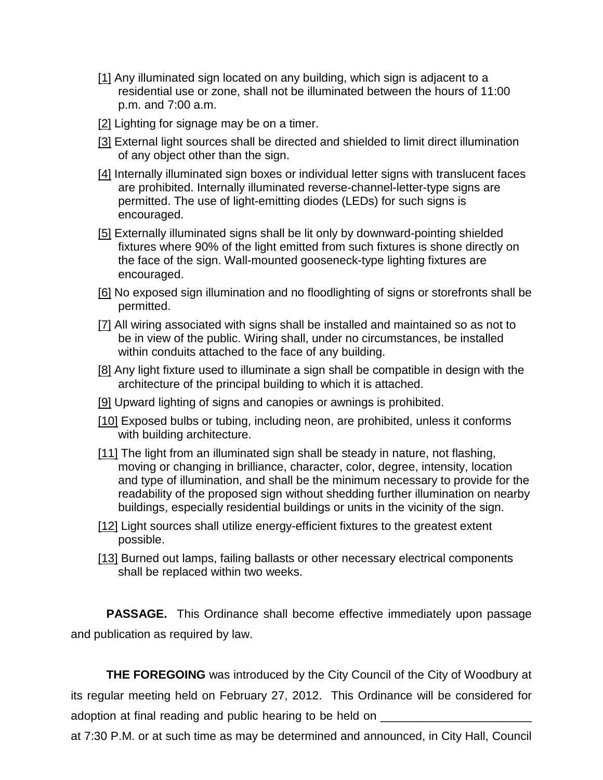- [\[1\]](http://www.ecode360.com/11416040#14132184#14132184) Any illuminated sign located on any building, which sign is adjacent to a residential use or zone, shall not be illuminated between the hours of 11:00 p.m. and 7:00 a.m.
- [\[2\]](http://www.ecode360.com/11416040#14132185#14132185) Lighting for signage may be on a timer.
- [\[3\]](http://www.ecode360.com/11416040#14132186#14132186) External light sources shall be directed and shielded to limit direct illumination of any object other than the sign.
- [\[4\]](http://www.ecode360.com/11416040#14132187#14132187) Internally illuminated sign boxes or individual letter signs with translucent faces are prohibited. Internally illuminated reverse-channel-letter-type signs are permitted. The use of light-emitting diodes (LEDs) for such signs is encouraged.
- [\[5\]](http://www.ecode360.com/11416040#14132188#14132188) Externally illuminated signs shall be lit only by downward-pointing shielded fixtures where 90% of the light emitted from such fixtures is shone directly on the face of the sign. Wall-mounted gooseneck-type lighting fixtures are encouraged.
- [\[6\]](http://www.ecode360.com/11416040#14132189#14132189) No exposed sign illumination and no floodlighting of signs or storefronts shall be permitted.
- [\[7\]](http://www.ecode360.com/11416040#14132190#14132190) All wiring associated with signs shall be installed and maintained so as not to be in view of the public. Wiring shall, under no circumstances, be installed within conduits attached to the face of any building.
- [\[8\]](http://www.ecode360.com/11416040#14132191#14132191) Any light fixture used to illuminate a sign shall be compatible in design with the architecture of the principal building to which it is attached.
- [\[9\]](http://www.ecode360.com/11416040#14132192#14132192) Upward lighting of signs and canopies or awnings is prohibited.
- [\[10\]](http://www.ecode360.com/11416040#14132193#14132193) Exposed bulbs or tubing, including neon, are prohibited, unless it conforms with building architecture.
- [\[11\]](http://www.ecode360.com/11416040#14132194#14132194) The light from an illuminated sign shall be steady in nature, not flashing, moving or changing in brilliance, character, color, degree, intensity, location and type of illumination, and shall be the minimum necessary to provide for the readability of the proposed sign without shedding further illumination on nearby buildings, especially residential buildings or units in the vicinity of the sign.
- [\[12\]](http://www.ecode360.com/11416040#14132195#14132195) Light sources shall utilize energy-efficient fixtures to the greatest extent possible.
- [\[13\]](http://www.ecode360.com/11416040#14132196#14132196) Burned out lamps, failing ballasts or other necessary electrical components shall be replaced within two weeks.

**PASSAGE.** This Ordinance shall become effective immediately upon passage and publication as required by law.

**THE FOREGOING** was introduced by the City Council of the City of Woodbury at its regular meeting held on February 27, 2012. This Ordinance will be considered for adoption at final reading and public hearing to be held on \_\_\_\_\_\_\_\_\_\_\_\_\_\_\_\_\_\_\_\_\_\_\_

at 7:30 P.M. or at such time as may be determined and announced, in City Hall, Council